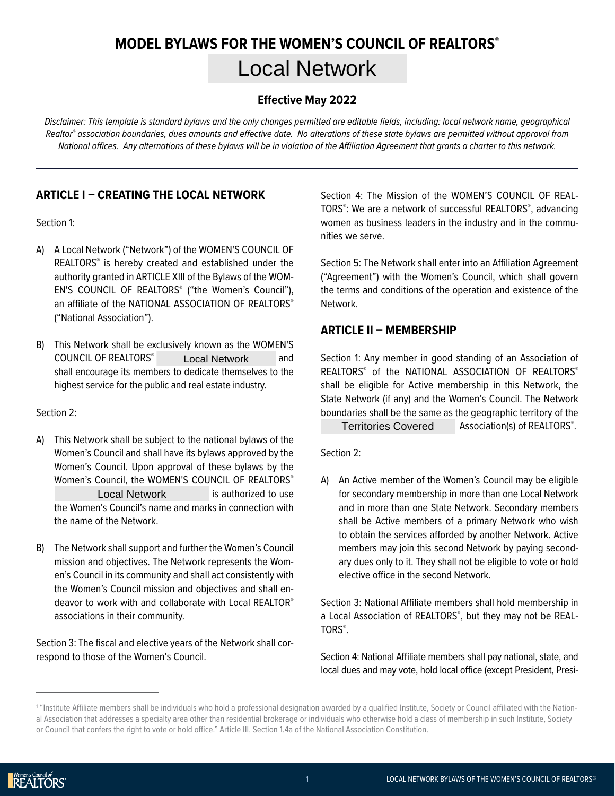# **MODEL BYLAWS FOR THE WOMEN'S COUNCIL OF REALTORS® Local Network**

#### **Effective May 2022**

*Disclaimer: This template is standard bylaws and the only changes permitted are editable fields, including: local network name, geographical Realtor® association boundaries, dues amounts and effective date. No alterations of these state bylaws are permitted without approval from National offices. Any alternations of these bylaws will be in violation of the Affiliation Agreement that grants a charter to this network.*

# **ARTICLE I – CREATING THE LOCAL NETWORK**

Section 1:

- A) A Local Network ("Network") of the WOMEN'S COUNCIL OF REALTORS® is hereby created and established under the authority granted in ARTICLE XIII of the Bylaws of the WOM-EN'S COUNCIL OF REALTORS<sup>®</sup> ("the Women's Council"), an affiliate of the NATIONAL ASSOCIATION OF REALTORS® ("National Association").
- B) This Network shall be exclusively known as the WOMEN'S COUNCIL OF REALTORS<sup>®</sup> Local Network and shall encourage its members to dedicate themselves to the highest service for the public and real estate industry. Local Network

Section 2:

- A) This Network shall be subject to the national bylaws of the Women's Council and shall have its bylaws approved by the Women's Council. Upon approval of these bylaws by the Women's Council, the WOMEN'S COUNCIL OF REALTORS® Local Network **is authorized to use** the Women's Council's name and marks in connection with the name of the Network. Territories Covered<br>
Local I have its bylaws approved by the<br>
Local Network<br>
Local Network<br>
Local Network<br>
Council, the WOMEN'S COUNCIL OF REALTORS<br>
Local Network<br>
Local Network<br>
Local Network<br>
Local Network<br>
Local Network
- B) The Network shall support and further the Women's Council mission and objectives. The Network represents the Women's Council in its community and shall act consistently with the Women's Council mission and objectives and shall endeavor to work with and collaborate with Local REALTOR® associations in their community.

Section 3: The fiscal and elective years of the Network shall correspond to those of the Women's Council.

Section 4: The Mission of the WOMEN'S COUNCIL OF REAL-TORS® : We are a network of successful REALTORS® , advancing women as business leaders in the industry and in the communities we serve.

Section 5: The Network shall enter into an Affiliation Agreement ("Agreement") with the Women's Council, which shall govern the terms and conditions of the operation and existence of the Network.

#### **ARTICLE II – MEMBERSHIP**

Section 1: Any member in good standing of an Association of REALTORS® of the NATIONAL ASSOCIATION OF REALTORS® shall be eligible for Active membership in this Network, the State Network (if any) and the Women's Council. The Network boundaries shall be the same as the geographic territory of the

Territories Covered Association(s) of REALTORS®.

Section 2:

A) An Active member of the Women's Council may be eligible for secondary membership in more than one Local Network and in more than one State Network. Secondary members shall be Active members of a primary Network who wish to obtain the services afforded by another Network. Active members may join this second Network by paying secondary dues only to it. They shall not be eligible to vote or hold elective office in the second Network.

Section 3: National Affiliate members shall hold membership in a Local Association of REALTORS® , but they may not be REAL-TORS® .

Section 4: National Affiliate members shall pay national, state, and local dues and may vote, hold local office (except President, Presi-

<sup>1</sup> "Institute Affiliate members shall be individuals who hold a professional designation awarded by a qualified Institute, Society or Council affiliated with the National Association that addresses a specialty area other than residential brokerage or individuals who otherwise hold a class of membership in such Institute, Society or Council that confers the right to vote or hold office." Article III, Section 1.4a of the National Association Constitution.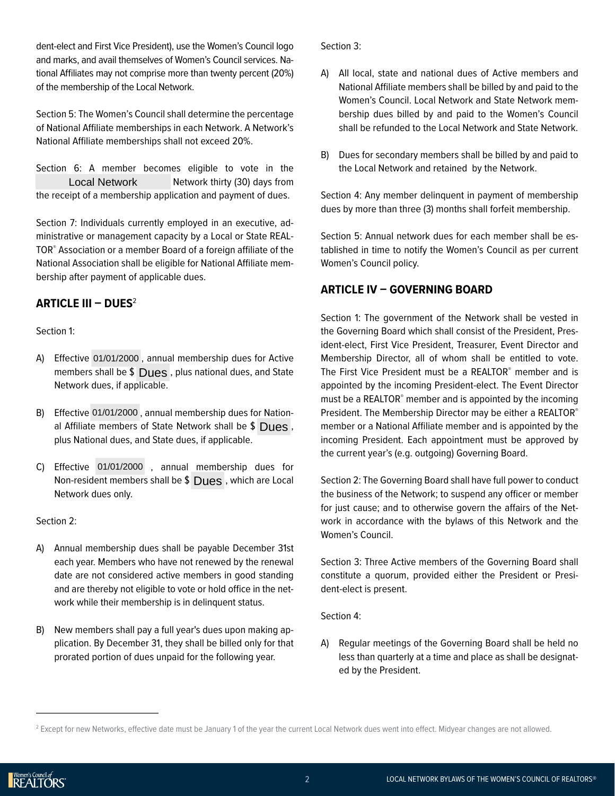dent-elect and First Vice President), use the Women's Council logo and marks, and avail themselves of Women's Council services. National Affiliates may not comprise more than twenty percent (20%) of the membership of the Local Network.

Section 5: The Women's Council shall determine the percentage of National Affiliate memberships in each Network. A Network's National Affiliate memberships shall not exceed 20%.

Section 6: A member becomes eligible to vote in the Network thirty (30) days from the receipt of a membership application and payment of dues. Local Network

Section 7: Individuals currently employed in an executive, administrative or management capacity by a Local or State REAL-TOR® Association or a member Board of a foreign affiliate of the National Association shall be eligible for National Affiliate membership after payment of applicable dues.

#### **ARTICLE III – DUES**<sup>2</sup>

Section 1:

- A) Effective 01/01/2000, annual membership dues for Active members shall be  $\$$   $\bigcup$ ues, plus national dues, and State Network dues, if applicable.
- B) Effective 01/01/2000, annual membership dues for National Affiliate members of State Network shall be  $\$$   $\bigcup$ ues, plus National dues, and State dues, if applicable.
- C) Effective 01/01/2000, annual membership dues for Non-resident members shall be \$ Dues, which are Local Network dues only.

Section 2:

- A) Annual membership dues shall be payable December 31st each year. Members who have not renewed by the renewal date are not considered active members in good standing and are thereby not eligible to vote or hold office in the network while their membership is in delinquent status.
- B) New members shall pay a full year's dues upon making application. By December 31, they shall be billed only for that prorated portion of dues unpaid for the following year.

Section 3:

- A) All local, state and national dues of Active members and National Affiliate members shall be billed by and paid to the Women's Council. Local Network and State Network membership dues billed by and paid to the Women's Council shall be refunded to the Local Network and State Network.
- B) Dues for secondary members shall be billed by and paid to the Local Network and retained by the Network.

Section 4: Any member delinquent in payment of membership dues by more than three (3) months shall forfeit membership.

Section 5: Annual network dues for each member shall be established in time to notify the Women's Council as per current Women's Council policy.

# **ARTICLE IV – GOVERNING BOARD**

Section 1: The government of the Network shall be vested in the Governing Board which shall consist of the President, President-elect, First Vice President, Treasurer, Event Director and Membership Director, all of whom shall be entitled to vote. The First Vice President must be a REALTOR® member and is appointed by the incoming President-elect. The Event Director must be a REALTOR<sup>®</sup> member and is appointed by the incoming President. The Membership Director may be either a REALTOR® member or a National Affiliate member and is appointed by the incoming President. Each appointment must be approved by the current year's (e.g. outgoing) Governing Board.

Section 2: The Governing Board shall have full power to conduct the business of the Network; to suspend any officer or member for just cause; and to otherwise govern the affairs of the Network in accordance with the bylaws of this Network and the Women's Council.

Section 3: Three Active members of the Governing Board shall constitute a quorum, provided either the President or President-elect is present.

Section 4:

A) Regular meetings of the Governing Board shall be held no less than quarterly at a time and place as shall be designated by the President.

<sup>&</sup>lt;sup>2</sup> Except for new Networks, effective date must be January 1 of the year the current Local Network dues went into effect. Midyear changes are not allowed.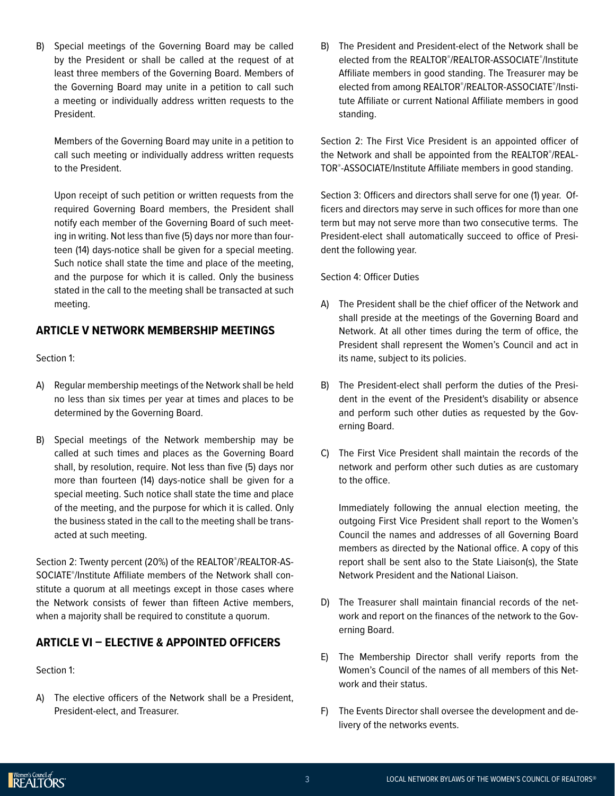B) Special meetings of the Governing Board may be called by the President or shall be called at the request of at least three members of the Governing Board. Members of the Governing Board may unite in a petition to call such a meeting or individually address written requests to the President.

Members of the Governing Board may unite in a petition to call such meeting or individually address written requests to the President.

Upon receipt of such petition or written requests from the required Governing Board members, the President shall notify each member of the Governing Board of such meeting in writing. Not less than five (5) days nor more than fourteen (14) days-notice shall be given for a special meeting. Such notice shall state the time and place of the meeting, and the purpose for which it is called. Only the business stated in the call to the meeting shall be transacted at such meeting.

#### **ARTICLE V NETWORK MEMBERSHIP MEETINGS**

Section 1:

- A) Regular membership meetings of the Network shall be held no less than six times per year at times and places to be determined by the Governing Board.
- B) Special meetings of the Network membership may be called at such times and places as the Governing Board shall, by resolution, require. Not less than five (5) days nor more than fourteen (14) days-notice shall be given for a special meeting. Such notice shall state the time and place of the meeting, and the purpose for which it is called. Only the business stated in the call to the meeting shall be transacted at such meeting.

Section 2: Twenty percent (20%) of the REALTOR® /REALTOR-AS-SOCIATE® /Institute Affiliate members of the Network shall constitute a quorum at all meetings except in those cases where the Network consists of fewer than fifteen Active members, when a majority shall be required to constitute a quorum.

#### **ARTICLE VI – ELECTIVE & APPOINTED OFFICERS**

Section 1:

A) The elective officers of the Network shall be a President, President-elect, and Treasurer.

B) The President and President-elect of the Network shall be elected from the REALTOR® /REALTOR-ASSOCIATE® /Institute Affiliate members in good standing. The Treasurer may be elected from among REALTOR®/REALTOR-ASSOCIATE®/Institute Affiliate or current National Affiliate members in good standing.

Section 2: The First Vice President is an appointed officer of the Network and shall be appointed from the REALTOR® /REAL-TOR® -ASSOCIATE/Institute Affiliate members in good standing.

Section 3: Officers and directors shall serve for one (1) year. Officers and directors may serve in such offices for more than one term but may not serve more than two consecutive terms. The President-elect shall automatically succeed to office of President the following year.

#### Section 4: Officer Duties

- A) The President shall be the chief officer of the Network and shall preside at the meetings of the Governing Board and Network. At all other times during the term of office, the President shall represent the Women's Council and act in its name, subject to its policies.
- B) The President-elect shall perform the duties of the President in the event of the President's disability or absence and perform such other duties as requested by the Governing Board.
- C) The First Vice President shall maintain the records of the network and perform other such duties as are customary to the office.

Immediately following the annual election meeting, the outgoing First Vice President shall report to the Women's Council the names and addresses of all Governing Board members as directed by the National office. A copy of this report shall be sent also to the State Liaison(s), the State Network President and the National Liaison.

- D) The Treasurer shall maintain financial records of the network and report on the finances of the network to the Governing Board.
- E) The Membership Director shall verify reports from the Women's Council of the names of all members of this Network and their status.
- F) The Events Director shall oversee the development and delivery of the networks events.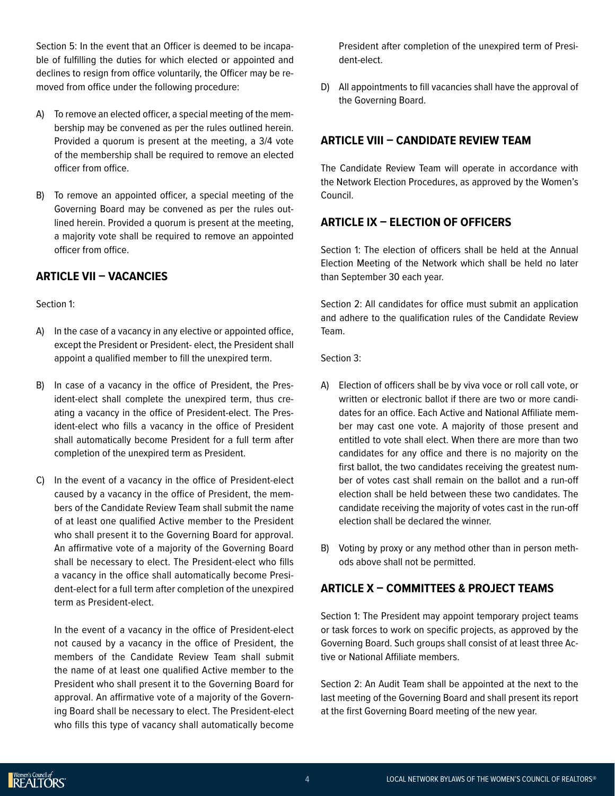Section 5: In the event that an Officer is deemed to be incapable of fulfilling the duties for which elected or appointed and declines to resign from office voluntarily, the Officer may be removed from office under the following procedure:

- A) To remove an elected officer, a special meeting of the membership may be convened as per the rules outlined herein. Provided a quorum is present at the meeting, a 3/4 vote of the membership shall be required to remove an elected officer from office.
- B) To remove an appointed officer, a special meeting of the Governing Board may be convened as per the rules outlined herein. Provided a quorum is present at the meeting, a majority vote shall be required to remove an appointed officer from office.

#### **ARTICLE VII – VACANCIES**

#### Section 1:

- A) In the case of a vacancy in any elective or appointed office, except the President or President- elect, the President shall appoint a qualified member to fill the unexpired term.
- B) In case of a vacancy in the office of President, the President-elect shall complete the unexpired term, thus creating a vacancy in the office of President-elect. The President-elect who fills a vacancy in the office of President shall automatically become President for a full term after completion of the unexpired term as President.
- C) In the event of a vacancy in the office of President-elect caused by a vacancy in the office of President, the members of the Candidate Review Team shall submit the name of at least one qualified Active member to the President who shall present it to the Governing Board for approval. An affirmative vote of a majority of the Governing Board shall be necessary to elect. The President-elect who fills a vacancy in the office shall automatically become President-elect for a full term after completion of the unexpired term as President-elect.

In the event of a vacancy in the office of President-elect not caused by a vacancy in the office of President, the members of the Candidate Review Team shall submit the name of at least one qualified Active member to the President who shall present it to the Governing Board for approval. An affirmative vote of a majority of the Governing Board shall be necessary to elect. The President-elect who fills this type of vacancy shall automatically become

President after completion of the unexpired term of President-elect.

D) All appointments to fill vacancies shall have the approval of the Governing Board.

# **ARTICLE VIII – CANDIDATE REVIEW TEAM**

The Candidate Review Team will operate in accordance with the Network Election Procedures, as approved by the Women's Council.

#### **ARTICLE IX – ELECTION OF OFFICERS**

Section 1: The election of officers shall be held at the Annual Election Meeting of the Network which shall be held no later than September 30 each year.

Section 2: All candidates for office must submit an application and adhere to the qualification rules of the Candidate Review Team.

Section 3:

- A) Election of officers shall be by viva voce or roll call vote, or written or electronic ballot if there are two or more candidates for an office. Each Active and National Affiliate member may cast one vote. A majority of those present and entitled to vote shall elect. When there are more than two candidates for any office and there is no majority on the first ballot, the two candidates receiving the greatest number of votes cast shall remain on the ballot and a run-off election shall be held between these two candidates. The candidate receiving the majority of votes cast in the run-off election shall be declared the winner.
- B) Voting by proxy or any method other than in person methods above shall not be permitted.

# **ARTICLE X – COMMITTEES & PROJECT TEAMS**

Section 1: The President may appoint temporary project teams or task forces to work on specific projects, as approved by the Governing Board. Such groups shall consist of at least three Active or National Affiliate members.

Section 2: An Audit Team shall be appointed at the next to the last meeting of the Governing Board and shall present its report at the first Governing Board meeting of the new year.